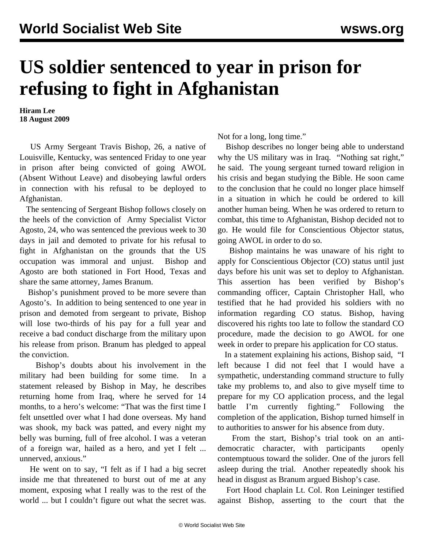## **US soldier sentenced to year in prison for refusing to fight in Afghanistan**

**Hiram Lee 18 August 2009**

 US Army Sergeant Travis Bishop, 26, a native of Louisville, Kentucky, was sentenced Friday to one year in prison after being convicted of going AWOL (Absent Without Leave) and disobeying lawful orders in connection with his refusal to be deployed to Afghanistan.

 The sentencing of Sergeant Bishop follows closely on the heels of the conviction of Army Specialist Victor Agosto, 24, who was sentenced the previous week to 30 days in jail and demoted to private for his refusal to fight in Afghanistan on the grounds that the US occupation was immoral and unjust. Bishop and Agosto are both stationed in Fort Hood, Texas and share the same attorney, James Branum.

 Bishop's punishment proved to be more severe than Agosto's. In addition to being sentenced to one year in prison and demoted from sergeant to private, Bishop will lose two-thirds of his pay for a full year and receive a bad conduct discharge from the military upon his release from prison. Branum has pledged to appeal the conviction.

 Bishop's doubts about his involvement in the military had been building for some time. In a statement released by Bishop in May, he describes returning home from Iraq, where he served for 14 months, to a hero's welcome: "That was the first time I felt unsettled over what I had done overseas. My hand was shook, my back was patted, and every night my belly was burning, full of free alcohol. I was a veteran of a foreign war, hailed as a hero, and yet I felt ... unnerved, anxious."

 He went on to say, "I felt as if I had a big secret inside me that threatened to burst out of me at any moment, exposing what I really was to the rest of the world ... but I couldn't figure out what the secret was.

Not for a long, long time."

 Bishop describes no longer being able to understand why the US military was in Iraq. "Nothing sat right," he said. The young sergeant turned toward religion in his crisis and began studying the Bible. He soon came to the conclusion that he could no longer place himself in a situation in which he could be ordered to kill another human being. When he was ordered to return to combat, this time to Afghanistan, Bishop decided not to go. He would file for Conscientious Objector status, going AWOL in order to do so.

 Bishop maintains he was unaware of his right to apply for Conscientious Objector (CO) status until just days before his unit was set to deploy to Afghanistan. This assertion has been verified by Bishop's commanding officer, Captain Christopher Hall, who testified that he had provided his soldiers with no information regarding CO status. Bishop, having discovered his rights too late to follow the standard CO procedure, made the decision to go AWOL for one week in order to prepare his application for CO status.

 In a statement explaining his actions, Bishop said, "I left because I did not feel that I would have a sympathetic, understanding command structure to fully take my problems to, and also to give myself time to prepare for my CO application process, and the legal battle I'm currently fighting." Following the completion of the application, Bishop turned himself in to authorities to answer for his absence from duty.

 From the start, Bishop's trial took on an antidemocratic character, with participants openly contemptuous toward the solider. One of the jurors fell asleep during the trial. Another repeatedly shook his head in disgust as Branum argued Bishop's case.

 Fort Hood chaplain Lt. Col. Ron Leininger testified against Bishop, asserting to the court that the